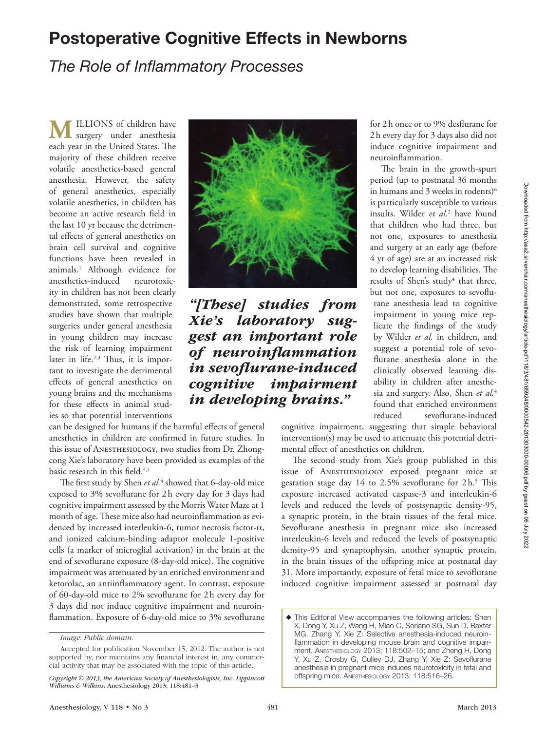## Postoperative Cognitive Effects in Newborns

## *The Role of Inflammatory Processes*

**M** ILLIONS of children have<br>surgery under anesthesia each year in the United States. The majority of these children receive volatile anesthetics-based general anesthesia. However, the safety of general anesthetics, especially volatile anesthetics, in children has become an active research field in the last 10 yr because the detrimental effects of general anesthetics on brain cell survival and cognitive functions have been revealed in animals.1 Although evidence for anesthetics-induced neurotoxicity in children has not been clearly demonstrated, some retrospective studies have shown that multiple surgeries under general anesthesia in young children may increase the risk of learning impairment later in life.<sup>2,3</sup> Thus, it is important to investigate the detrimental effects of general anesthetics on young brains and the mechanisms for these effects in animal studies so that potential interventions

can be designed for humans if the harmful effects of general anesthetics in children are confirmed in future studies. In this issue of ANESTHESIOLOGY, two studies from Dr. Zhongcong Xie's laboratory have been provided as examples of the basic research in this field.<sup>4,5</sup>

The first study by Shen et al.<sup>4</sup> showed that 6-day-old mice exposed to 3% sevoflurane for 2h every day for 3 days had cognitive impairment assessed by the Morris Water Maze at 1 month of age. These mice also had neuroinflammation as evidenced by increased interleukin-6, tumor necrosis factor-α, and ionized calcium-binding adaptor molecule 1-positive cells (a marker of microglial activation) in the brain at the end of sevoflurane exposure (8-day-old mice). The cognitive impairment was attenuated by an enriched environment and ketorolac, an antiinflammatory agent. In contrast, exposure of 60-day-old mice to 2% sevoflurane for 2h every day for 3 days did not induce cognitive impairment and neuroinflammation. Exposure of 6-day-old mice to 3% sevoflurane



*"[These] studies from Xie's laboratory suggest an important role of neuroinflammation in sevoflurane-induced cognitive impairment in developing brains."*

for 2h once or to 9% desflurane for 2h every day for 3 days also did not induce cognitive impairment and neuroinflammation.

The brain in the growth-spurt period (up to postnatal 36 months in humans and 3 weeks in rodents)<sup>6</sup> is particularly susceptible to various insults. Wilder *et al.*<sup>2</sup> have found that children who had three, but not one, exposures to anesthesia and surgery at an early age (before 4 yr of age) are at an increased risk to develop learning disabilities. The results of Shen's study<sup>4</sup> that three, but not one, exposures to sevoflurane anesthesia lead to cognitive impairment in young mice replicate the findings of the study by Wilder *et al.* in children, and suggest a potential role of sevoflurane anesthesia alone in the clinically observed learning disability in children after anesthesia and surgery. Also, Shen *et al.*<sup>4</sup> found that enriched environment reduced sevoflurane-induced

cognitive impairment, suggesting that simple behavioral intervention(s) may be used to attenuate this potential detrimental effect of anesthetics on children.

The second study from Xie's group published in this issue of Anesthesiology exposed pregnant mice at gestation stage day 14 to 2.5% sevoflurane for 2h.<sup>5</sup> This exposure increased activated caspase-3 and interleukin-6 levels and reduced the levels of postsynaptic density-95, a synaptic protein, in the brain tissues of the fetal mice. Sevoflurane anesthesia in pregnant mice also increased interleukin-6 levels and reduced the levels of postsynaptic density-95 and synaptophysin, another synaptic protein, in the brain tissues of the offspring mice at postnatal day 31. More importantly, exposure of fetal mice to sevoflurane induced cognitive impairment assessed at postnatal day

*Image: Public domain.*

Accepted for publication November 15, 2012. The author is not supported by, nor maintains any financial interest in, any commercial activity that may be associated with the topic of this article.

*Copyright © 2013, the American Society of Anesthesiologists, Inc. Lippincott Williams & Wilkins.* Anesthesiology 2013; 118:481*–*3

<sup>◆</sup> This Editorial View accompanies the following articles: Shen X, Dong Y, Xu Z, Wang H, Miao C, Soriano SG, Sun D, Baxter MG, Zhang Y, Xie Z: Selective anesthesia-induced neuroinflammation in developing mouse brain and cognitive impairment. Anesthesiology 2013; 118:502–15; and Zheng H, Dong Y, Xu Z, Crosby G, Culley DJ, Zhang Y, Xie Z: Sevoflurane anesthesia in pregnant mice induces neurotoxicity in fetal and offspring mice. Anesthesiology 2013; 118:516–26.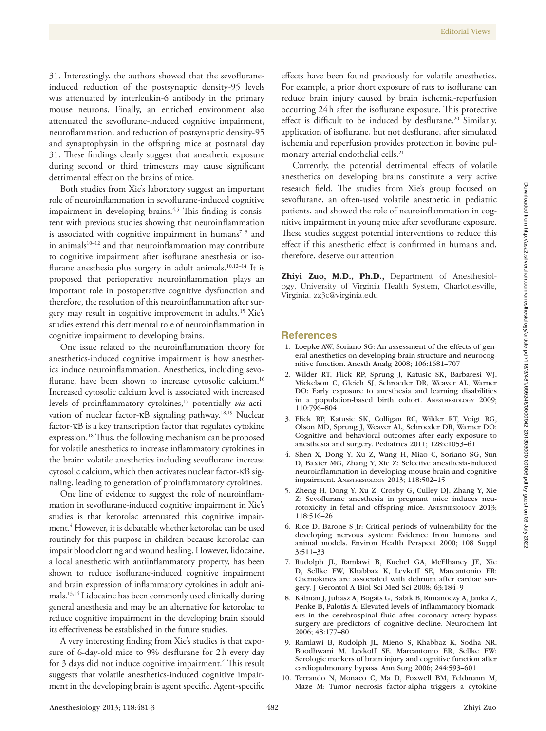31. Interestingly, the authors showed that the sevofluraneinduced reduction of the postsynaptic density-95 levels was attenuated by interleukin-6 antibody in the primary mouse neurons. Finally, an enriched environment also attenuated the sevoflurane-induced cognitive impairment, neuroflammation, and reduction of postsynaptic density-95 and synaptophysin in the offspring mice at postnatal day 31. These findings clearly suggest that anesthetic exposure during second or third trimesters may cause significant detrimental effect on the brains of mice.

Both studies from Xie's laboratory suggest an important role of neuroinflammation in sevoflurane-induced cognitive impairment in developing brains.<sup>4,5</sup> This finding is consistent with previous studies showing that neuroinflammation is associated with cognitive impairment in humans $7-9$  and in animals $10-12$  and that neuroinflammation may contribute to cognitive impairment after isoflurane anesthesia or isoflurane anesthesia plus surgery in adult animals.10,12–14 It is proposed that perioperative neuroinflammation plays an important role in postoperative cognitive dysfunction and therefore, the resolution of this neuroinflammation after surgery may result in cognitive improvement in adults.15 Xie's studies extend this detrimental role of neuroinflammation in cognitive impairment to developing brains.

One issue related to the neuroinflammation theory for anesthetics-induced cognitive impairment is how anesthetics induce neuroinflammation. Anesthetics, including sevoflurane, have been shown to increase cytosolic calcium.<sup>16</sup> Increased cytosolic calcium level is associated with increased levels of proinflammatory cytokines,<sup>17</sup> potentially *via* activation of nuclear factor-κB signaling pathway.<sup>18,19</sup> Nuclear factor-κB is a key transcription factor that regulates cytokine expression.18 Thus, the following mechanism can be proposed for volatile anesthetics to increase inflammatory cytokines in the brain: volatile anesthetics including sevoflurane increase cytosolic calcium, which then activates nuclear factor-κB signaling, leading to generation of proinflammatory cytokines.

One line of evidence to suggest the role of neuroinflammation in sevoflurane-induced cognitive impairment in Xie's studies is that ketorolac attenuated this cognitive impairment.4 However, it is debatable whether ketorolac can be used routinely for this purpose in children because ketorolac can impair blood clotting and wound healing. However, lidocaine, a local anesthetic with antiinflammatory property, has been shown to reduce isoflurane-induced cognitive impairment and brain expression of inflammatory cytokines in adult animals.13,14 Lidocaine has been commonly used clinically during general anesthesia and may be an alternative for ketorolac to reduce cognitive impairment in the developing brain should its effectiveness be established in the future studies.

A very interesting finding from Xie's studies is that exposure of 6-day-old mice to 9% desflurane for 2h every day for 3 days did not induce cognitive impairment.<sup>4</sup> This result suggests that volatile anesthetics-induced cognitive impairment in the developing brain is agent specific. Agent-specific

effects have been found previously for volatile anesthetics. For example, a prior short exposure of rats to isoflurane can reduce brain injury caused by brain ischemia-reperfusion occurring 24h after the isoflurane exposure. This protective effect is difficult to be induced by desflurane.<sup>20</sup> Similarly, application of isoflurane, but not desflurane, after simulated ischemia and reperfusion provides protection in bovine pulmonary arterial endothelial cells.21

Currently, the potential detrimental effects of volatile anesthetics on developing brains constitute a very active research field. The studies from Xie's group focused on sevoflurane, an often-used volatile anesthetic in pediatric patients, and showed the role of neuroinflammation in cognitive impairment in young mice after sevoflurane exposure. These studies suggest potential interventions to reduce this effect if this anesthetic effect is confirmed in humans and, therefore, deserve our attention.

Zhiyi Zuo, M.D., Ph.D., Department of Anesthesiology, University of Virginia Health System, Charlottesville, Virginia. [zz3c@virginia.edu](mailto:zz3c@virginia.edu)

## **References**

- 1. Loepke AW, Soriano SG: An assessment of the effects of general anesthetics on developing brain structure and neurocognitive function. Anesth Analg 2008; 106:1681–707
- 2. Wilder RT, Flick RP, Sprung J, Katusic SK, Barbaresi WJ, Mickelson C, Gleich SJ, Schroeder DR, Weaver AL, Warner DO: Early exposure to anesthesia and learning disabilities in a population-based birth cohort. Anesthesiology 2009; 110:796–804
- 3. Flick RP, Katusic SK, Colligan RC, Wilder RT, Voigt RG, Olson MD, Sprung J, Weaver AL, Schroeder DR, Warner DO: Cognitive and behavioral outcomes after early exposure to anesthesia and surgery. Pediatrics 2011; 128:e1053–61
- 4. Shen X, Dong Y, Xu Z, Wang H, Miao C, Soriano SG, Sun D, Baxter MG, Zhang Y, Xie Z: Selective anesthesia-induced neuroinflammation in developing mouse brain and cognitive impairment. Anesthesiology 2013; 118:502–15
- 5. Zheng H, Dong Y, Xu Z, Crosby G, Culley DJ, Zhang Y, Xie Z: Sevoflurane anesthesia in pregnant mice induces neurotoxicity in fetal and offspring mice. Anesthesiology 2013; 118:516–26
- 6. Rice D, Barone S Jr: Critical periods of vulnerability for the developing nervous system: Evidence from humans and animal models. Environ Health Perspect 2000; 108 Suppl 3:511–33
- 7. Rudolph JL, Ramlawi B, Kuchel GA, McElhaney JE, Xie D, Sellke FW, Khabbaz K, Levkoff SE, Marcantonio ER: Chemokines are associated with delirium after cardiac surgery. J Gerontol A Biol Sci Med Sci 2008; 63:184–9
- 8. Kálmán J, Juhász A, Bogáts G, Babik B, Rimanóczy A, Janka Z, Penke B, Palotás A: Elevated levels of inflammatory biomarkers in the cerebrospinal fluid after coronary artery bypass surgery are predictors of cognitive decline. Neurochem Int 2006; 48:177–80
- 9. Ramlawi B, Rudolph JL, Mieno S, Khabbaz K, Sodha NR, Boodhwani M, Levkoff SE, Marcantonio ER, Sellke FW: Serologic markers of brain injury and cognitive function after cardiopulmonary bypass. Ann Surg 2006; 244:593–601
- 10. Terrando N, Monaco C, Ma D, Foxwell BM, Feldmann M, Maze M: Tumor necrosis factor-alpha triggers a cytokine